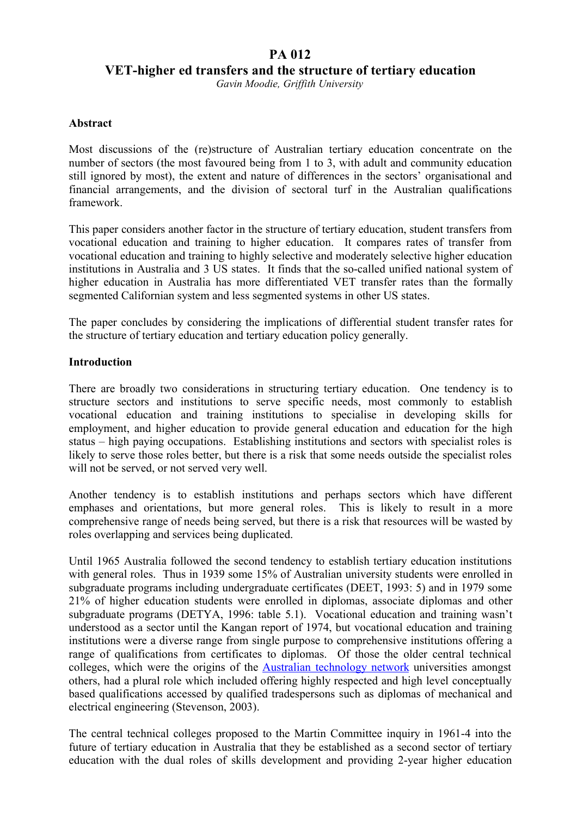# **PA 012**

**VET-higher ed transfers and the structure of tertiary education**

*Gavin Moodie, Griffith University*

### **Abstract**

Most discussions of the (re)structure of Australian tertiary education concentrate on the number of sectors (the most favoured being from 1 to 3, with adult and community education still ignored by most), the extent and nature of differences in the sectors' organisational and financial arrangements, and the division of sectoral turf in the Australian qualifications framework.

This paper considers another factor in the structure of tertiary education, student transfers from vocational education and training to higher education. It compares rates of transfer from vocational education and training to highly selective and moderately selective higher education institutions in Australia and 3 US states. It finds that the so-called unified national system of higher education in Australia has more differentiated VET transfer rates than the formally segmented Californian system and less segmented systems in other US states.

The paper concludes by considering the implications of differential student transfer rates for the structure of tertiary education and tertiary education policy generally.

### **Introduction**

There are broadly two considerations in structuring tertiary education. One tendency is to structure sectors and institutions to serve specific needs, most commonly to establish vocational education and training institutions to specialise in developing skills for employment, and higher education to provide general education and education for the high status – high paying occupations. Establishing institutions and sectors with specialist roles is likely to serve those roles better, but there is a risk that some needs outside the specialist roles will not be served, or not served very well.

Another tendency is to establish institutions and perhaps sectors which have different emphases and orientations, but more general roles. This is likely to result in a more comprehensive range of needs being served, but there is a risk that resources will be wasted by roles overlapping and services being duplicated.

Until 1965 Australia followed the second tendency to establish tertiary education institutions with general roles. Thus in 1939 some 15% of Australian university students were enrolled in subgraduate programs including undergraduate certificates (DEET, 1993: 5) and in 1979 some 21% of higher education students were enrolled in diplomas, associate diplomas and other subgraduate programs (DETYA, 1996: table 5.1). Vocational education and training wasn't understood as a sector until the Kangan report of 1974, but vocational education and training institutions were a diverse range from single purpose to comprehensive institutions offering a range of qualifications from certificates to diplomas. Of those the older central technical colleges, which were the origins of the Australian technology network universities amongst others, had a plural role which included offering highly respected and high level conceptually based qualifications accessed by qualified tradespersons such as diplomas of mechanical and electrical engineering (Stevenson, 2003).

The central technical colleges proposed to the Martin Committee inquiry in 1961-4 into the future of tertiary education in Australia that they be established as a second sector of tertiary education with the dual roles of skills development and providing 2-year higher education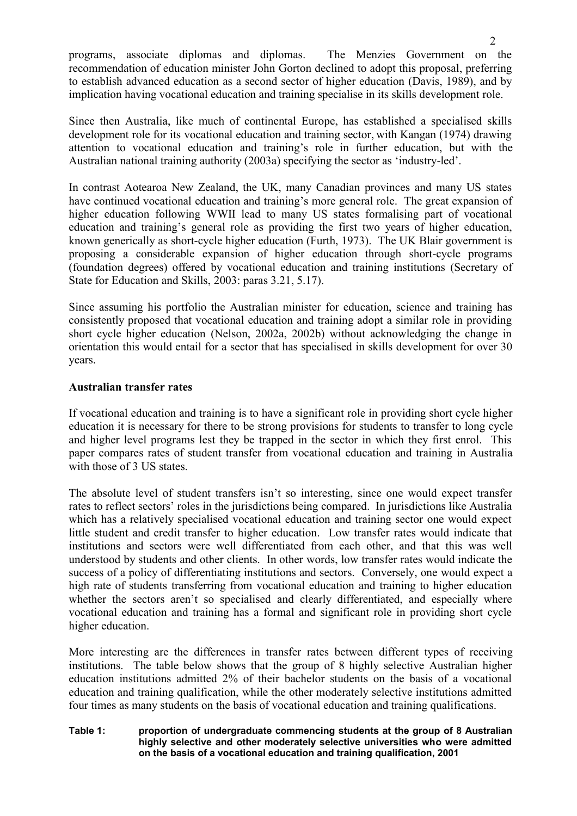programs, associate diplomas and diplomas. The Menzies Government on the recommendation of education minister John Gorton declined to adopt this proposal, preferring to establish advanced education as a second sector of higher education (Davis, 1989), and by implication having vocational education and training specialise in its skills development role.

Since then Australia, like much of continental Europe, has established a specialised skills development role for its vocational education and training sector, with Kangan (1974) drawing attention to vocational education and training's role in further education, but with the Australian national training authority (2003a) specifying the sector as 'industry-led'.

In contrast Aotearoa New Zealand, the UK, many Canadian provinces and many US states have continued vocational education and training's more general role. The great expansion of higher education following WWII lead to many US states formalising part of vocational education and training's general role as providing the first two years of higher education, known generically as short-cycle higher education (Furth, 1973). The UK Blair government is proposing a considerable expansion of higher education through short-cycle programs (foundation degrees) offered by vocational education and training institutions (Secretary of State for Education and Skills, 2003: paras 3.21, 5.17).

Since assuming his portfolio the Australian minister for education, science and training has consistently proposed that vocational education and training adopt a similar role in providing short cycle higher education (Nelson, 2002a, 2002b) without acknowledging the change in orientation this would entail for a sector that has specialised in skills development for over 30 years.

### **Australian transfer rates**

If vocational education and training is to have a significant role in providing short cycle higher education it is necessary for there to be strong provisions for students to transfer to long cycle and higher level programs lest they be trapped in the sector in which they first enrol. This paper compares rates of student transfer from vocational education and training in Australia with those of 3 US states.

The absolute level of student transfers isn't so interesting, since one would expect transfer rates to reflect sectors' roles in the jurisdictions being compared. In jurisdictions like Australia which has a relatively specialised vocational education and training sector one would expect little student and credit transfer to higher education. Low transfer rates would indicate that institutions and sectors were well differentiated from each other, and that this was well understood by students and other clients. In other words, low transfer rates would indicate the success of a policy of differentiating institutions and sectors. Conversely, one would expect a high rate of students transferring from vocational education and training to higher education whether the sectors aren't so specialised and clearly differentiated, and especially where vocational education and training has a formal and significant role in providing short cycle higher education.

More interesting are the differences in transfer rates between different types of receiving institutions. The table below shows that the group of 8 highly selective Australian higher education institutions admitted 2% of their bachelor students on the basis of a vocational education and training qualification, while the other moderately selective institutions admitted four times as many students on the basis of vocational education and training qualifications.

#### **Table 1: proportion of undergraduate commencing students at the group of 8 Australian highly selective and other moderately selective universities who were admitted on the basis of a vocational education and training qualification, 2001**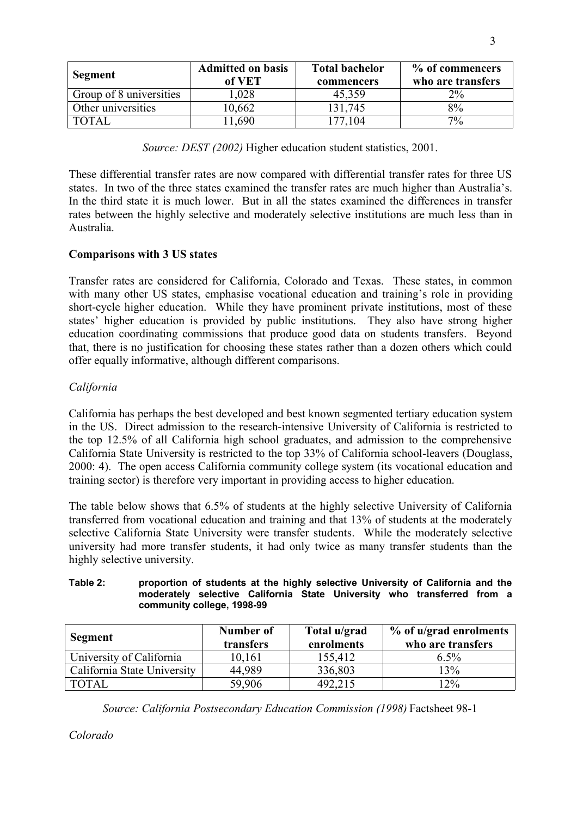| Segment                 | <b>Admitted on basis</b><br>of VET | <b>Total bachelor</b><br>commencers | % of commencers<br>who are transfers |
|-------------------------|------------------------------------|-------------------------------------|--------------------------------------|
| Group of 8 universities | .028                               | 45,359                              | $2\%$                                |
| Other universities      | 0,662                              | 131,745                             | 8%                                   |
| TOTAI                   | .690                               | 177.104                             | $7\%$                                |

*Source: DEST (2002)* Higher education student statistics, 2001.

These differential transfer rates are now compared with differential transfer rates for three US states. In two of the three states examined the transfer rates are much higher than Australia's. In the third state it is much lower. But in all the states examined the differences in transfer rates between the highly selective and moderately selective institutions are much less than in Australia.

# **Comparisons with 3 US states**

Transfer rates are considered for California, Colorado and Texas. These states, in common with many other US states, emphasise vocational education and training's role in providing short-cycle higher education. While they have prominent private institutions, most of these states' higher education is provided by public institutions. They also have strong higher education coordinating commissions that produce good data on students transfers. Beyond that, there is no justification for choosing these states rather than a dozen others which could offer equally informative, although different comparisons.

# *California*

California has perhaps the best developed and best known segmented tertiary education system in the US. Direct admission to the research-intensive University of California is restricted to the top 12.5% of all California high school graduates, and admission to the comprehensive California State University is restricted to the top 33% of California school-leavers (Douglass, 2000: 4). The open access California community college system (its vocational education and training sector) is therefore very important in providing access to higher education.

The table below shows that 6.5% of students at the highly selective University of California transferred from vocational education and training and that 13% of students at the moderately selective California State University were transfer students. While the moderately selective university had more transfer students, it had only twice as many transfer students than the highly selective university.

#### **Table 2: proportion of students at the highly selective University of California and the moderately selective California State University who transferred from a community college, 1998-99**

| Segment                     | Number of<br>transfers | Total u/grad<br>enrolments | % of u/grad enrolments<br>who are transfers |
|-----------------------------|------------------------|----------------------------|---------------------------------------------|
| University of California    | 10,161                 | 155,412                    | $6.5\%$                                     |
| California State University | 44,989                 | 336,803                    | 13%                                         |
| <b>TOTAL</b>                | 59,906                 | 492,215                    | $12\%$                                      |

*Source: California Postsecondary Education Commission (1998)* Factsheet 98-1

*Colorado*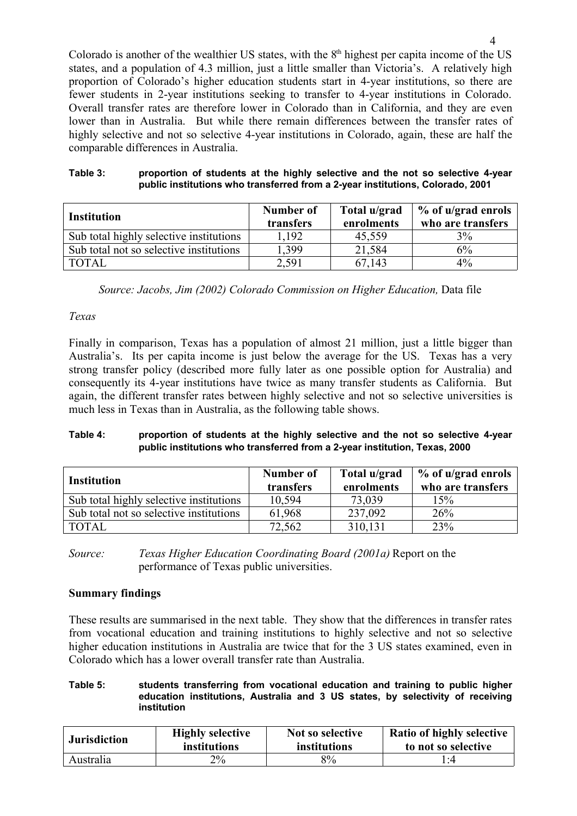Colorado is another of the wealthier US states, with the  $8<sup>th</sup>$  highest per capita income of the US states, and a population of 4.3 million, just a little smaller than Victoria's. A relatively high proportion of Colorado's higher education students start in 4-year institutions, so there are fewer students in 2-year institutions seeking to transfer to 4-year institutions in Colorado. Overall transfer rates are therefore lower in Colorado than in California, and they are even lower than in Australia. But while there remain differences between the transfer rates of highly selective and not so selective 4-year institutions in Colorado, again, these are half the comparable differences in Australia.

| Table 3: | proportion of students at the highly selective and the not so selective 4-year |
|----------|--------------------------------------------------------------------------------|
|          | public institutions who transferred from a 2-year institutions, Colorado, 2001 |

| <b>Institution</b>                      | Number of<br>transfers | Total u/grad<br>enrolments | % of u/grad enrols<br>who are transfers |
|-----------------------------------------|------------------------|----------------------------|-----------------------------------------|
| Sub total highly selective institutions | 1,192                  | 45,559                     | 3%                                      |
| Sub total not so selective institutions | 1,399                  | 21,584                     | 6%                                      |
| <b>TOTAL</b>                            | 2,591                  | 67,143                     | 4%                                      |

*Source: Jacobs, Jim (2002) Colorado Commission on Higher Education, Data file* 

#### *Texas*

Finally in comparison, Texas has a population of almost 21 million, just a little bigger than Australia's. Its per capita income is just below the average for the US. Texas has a very strong transfer policy (described more fully later as one possible option for Australia) and consequently its 4-year institutions have twice as many transfer students as California. But again, the different transfer rates between highly selective and not so selective universities is much less in Texas than in Australia, as the following table shows.

#### **Table 4: proportion of students at the highly selective and the not so selective 4-year public institutions who transferred from a 2-year institution, Texas, 2000**

| <b>Institution</b>                      | Number of<br>transfers | Total u/grad<br>enrolments | % of u/grad enrols<br>who are transfers |
|-----------------------------------------|------------------------|----------------------------|-----------------------------------------|
| Sub total highly selective institutions | 10,594                 | 73.039                     | 15%                                     |
| Sub total not so selective institutions | 61,968                 | 237,092                    | 26%                                     |
| <b>TOTAL</b>                            | 72,562                 | 310,131                    | 23%                                     |

*Source: Texas Higher Education Coordinating Board (2001a)* Report on the performance of Texas public universities.

### **Summary findings**

These results are summarised in the next table. They show that the differences in transfer rates from vocational education and training institutions to highly selective and not so selective higher education institutions in Australia are twice that for the 3 US states examined, even in Colorado which has a lower overall transfer rate than Australia.

#### **Table 5: students transferring from vocational education and training to public higher education institutions, Australia and 3 US states, by selectivity of receiving institution**

| <b>Jurisdiction</b> | <b>Highly selective</b> | Not so selective | <b>Ratio of highly selective</b> |
|---------------------|-------------------------|------------------|----------------------------------|
|                     | <i>institutions</i>     | institutions     | to not so selective              |
| Australia           | $2\%$                   | 8%               | l ·4                             |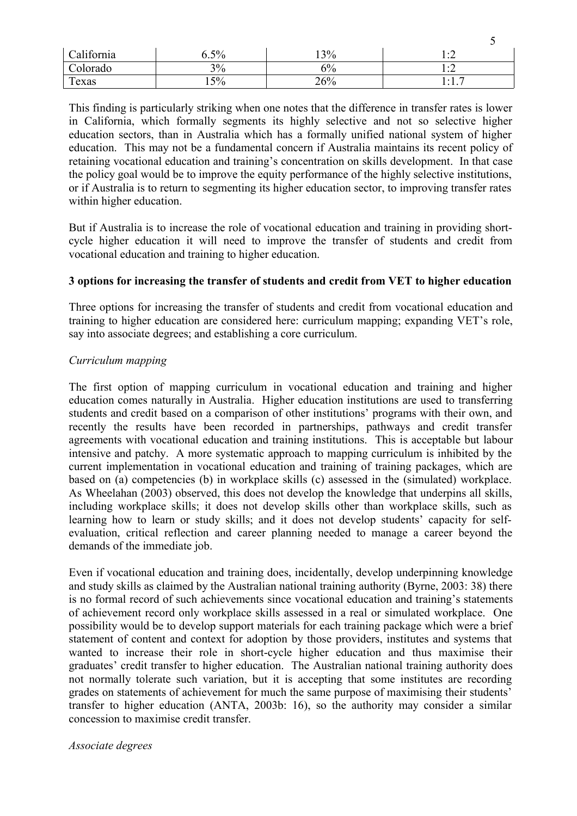| California | $6.5\%$ | 13% | .                    |
|------------|---------|-----|----------------------|
| Colorado   | 3%      | 5%  | $\cdot$ $\cdot$<br>. |
| Texas      | $15\%$  | 26% | . .<br>. /           |

5

This finding is particularly striking when one notes that the difference in transfer rates is lower in California, which formally segments its highly selective and not so selective higher education sectors, than in Australia which has a formally unified national system of higher education. This may not be a fundamental concern if Australia maintains its recent policy of retaining vocational education and training's concentration on skills development. In that case the policy goal would be to improve the equity performance of the highly selective institutions, or if Australia is to return to segmenting its higher education sector, to improving transfer rates within higher education.

But if Australia is to increase the role of vocational education and training in providing shortcycle higher education it will need to improve the transfer of students and credit from vocational education and training to higher education.

### **3 options for increasing the transfer of students and credit from VET to higher education**

Three options for increasing the transfer of students and credit from vocational education and training to higher education are considered here: curriculum mapping; expanding VET's role, say into associate degrees; and establishing a core curriculum.

### *Curriculum mapping*

The first option of mapping curriculum in vocational education and training and higher education comes naturally in Australia. Higher education institutions are used to transferring students and credit based on a comparison of other institutions' programs with their own, and recently the results have been recorded in partnerships, pathways and credit transfer agreements with vocational education and training institutions. This is acceptable but labour intensive and patchy. A more systematic approach to mapping curriculum is inhibited by the current implementation in vocational education and training of training packages, which are based on (a) competencies (b) in workplace skills (c) assessed in the (simulated) workplace. As Wheelahan (2003) observed, this does not develop the knowledge that underpins all skills, including workplace skills; it does not develop skills other than workplace skills, such as learning how to learn or study skills; and it does not develop students' capacity for selfevaluation, critical reflection and career planning needed to manage a career beyond the demands of the immediate job.

Even if vocational education and training does, incidentally, develop underpinning knowledge and study skills as claimed by the Australian national training authority (Byrne, 2003: 38) there is no formal record of such achievements since vocational education and training's statements of achievement record only workplace skills assessed in a real or simulated workplace. One possibility would be to develop support materials for each training package which were a brief statement of content and context for adoption by those providers, institutes and systems that wanted to increase their role in short-cycle higher education and thus maximise their graduates' credit transfer to higher education. The Australian national training authority does not normally tolerate such variation, but it is accepting that some institutes are recording grades on statements of achievement for much the same purpose of maximising their students' transfer to higher education (ANTA, 2003b: 16), so the authority may consider a similar concession to maximise credit transfer.

#### *Associate degrees*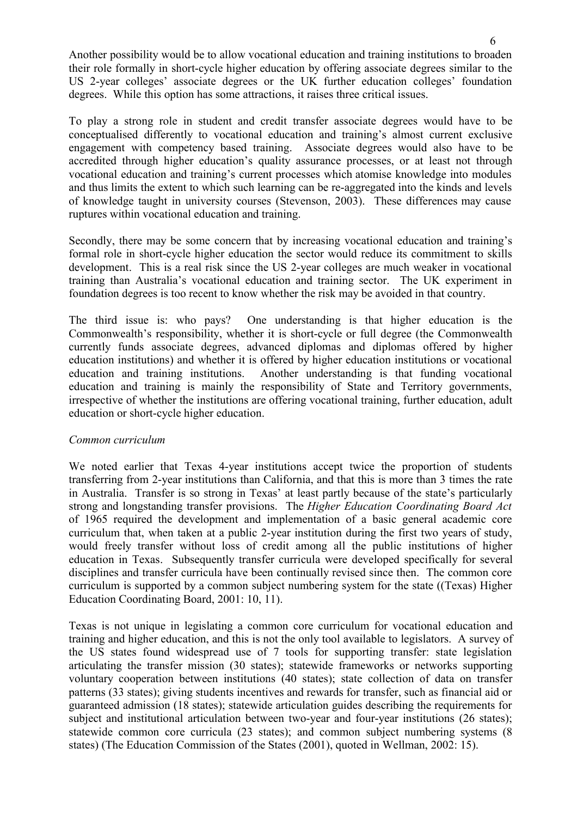Another possibility would be to allow vocational education and training institutions to broaden their role formally in short-cycle higher education by offering associate degrees similar to the US 2-year colleges' associate degrees or the UK further education colleges' foundation degrees. While this option has some attractions, it raises three critical issues.

To play a strong role in student and credit transfer associate degrees would have to be conceptualised differently to vocational education and training's almost current exclusive engagement with competency based training. Associate degrees would also have to be accredited through higher education's quality assurance processes, or at least not through vocational education and training's current processes which atomise knowledge into modules and thus limits the extent to which such learning can be re-aggregated into the kinds and levels of knowledge taught in university courses (Stevenson, 2003). These differences may cause ruptures within vocational education and training.

Secondly, there may be some concern that by increasing vocational education and training's formal role in short-cycle higher education the sector would reduce its commitment to skills development. This is a real risk since the US 2-year colleges are much weaker in vocational training than Australia's vocational education and training sector. The UK experiment in foundation degrees is too recent to know whether the risk may be avoided in that country.

The third issue is: who pays? One understanding is that higher education is the Commonwealth's responsibility, whether it is short-cycle or full degree (the Commonwealth currently funds associate degrees, advanced diplomas and diplomas offered by higher education institutions) and whether it is offered by higher education institutions or vocational education and training institutions. Another understanding is that funding vocational education and training is mainly the responsibility of State and Territory governments, irrespective of whether the institutions are offering vocational training, further education, adult education or short-cycle higher education.

### *Common curriculum*

We noted earlier that Texas 4-year institutions accept twice the proportion of students transferring from 2-year institutions than California, and that this is more than 3 times the rate in Australia. Transfer is so strong in Texas' at least partly because of the state's particularly strong and longstanding transfer provisions. The *Higher Education Coordinating Board Act* of 1965 required the development and implementation of a basic general academic core curriculum that, when taken at a public 2-year institution during the first two years of study, would freely transfer without loss of credit among all the public institutions of higher education in Texas. Subsequently transfer curricula were developed specifically for several disciplines and transfer curricula have been continually revised since then. The common core curriculum is supported by a common subject numbering system for the state ((Texas) Higher Education Coordinating Board, 2001: 10, 11).

Texas is not unique in legislating a common core curriculum for vocational education and training and higher education, and this is not the only tool available to legislators. A survey of the US states found widespread use of 7 tools for supporting transfer: state legislation articulating the transfer mission (30 states); statewide frameworks or networks supporting voluntary cooperation between institutions (40 states); state collection of data on transfer patterns (33 states); giving students incentives and rewards for transfer, such as financial aid or guaranteed admission (18 states); statewide articulation guides describing the requirements for subject and institutional articulation between two-year and four-year institutions (26 states); statewide common core curricula (23 states); and common subject numbering systems (8 states) (The Education Commission of the States (2001), quoted in Wellman, 2002: 15).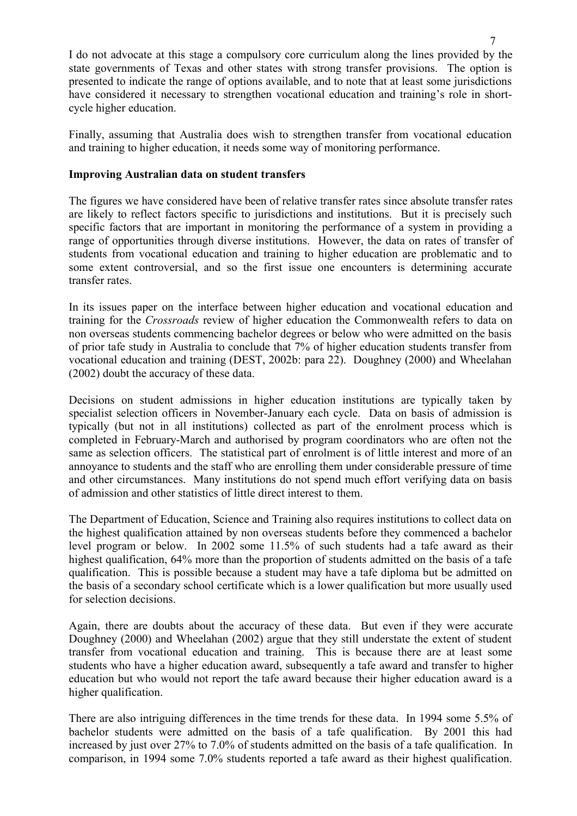I do not advocate at this stage a compulsory core curriculum along the lines provided by the state governments of Texas and other states with strong transfer provisions. The option is presented to indicate the range of options available, and to note that at least some jurisdictions have considered it necessary to strengthen vocational education and training's role in shortcycle higher education.

Finally, assuming that Australia does wish to strengthen transfer from vocational education and training to higher education, it needs some way of monitoring performance.

#### **Improving Australian data on student transfers**

The figures we have considered have been of relative transfer rates since absolute transfer rates are likely to reflect factors specific to jurisdictions and institutions. But it is precisely such specific factors that are important in monitoring the performance of a system in providing a range of opportunities through diverse institutions. However, the data on rates of transfer of students from vocational education and training to higher education are problematic and to some extent controversial, and so the first issue one encounters is determining accurate transfer rates.

In its issues paper on the interface between higher education and vocational education and training for the *Crossroads* review of higher education the Commonwealth refers to data on non overseas students commencing bachelor degrees or below who were admitted on the basis of prior tafe study in Australia to conclude that 7% of higher education students transfer from vocational education and training (DEST, 2002b: para 22). Doughney (2000) and Wheelahan (2002) doubt the accuracy of these data.

Decisions on student admissions in higher education institutions are typically taken by specialist selection officers in November-January each cycle. Data on basis of admission is typically (but not in all institutions) collected as part of the enrolment process which is completed in February-March and authorised by program coordinators who are often not the same as selection officers. The statistical part of enrolment is of little interest and more of an annoyance to students and the staff who are enrolling them under considerable pressure of time and other circumstances. Many institutions do not spend much effort verifying data on basis of admission and other statistics of little direct interest to them.

The Department of Education, Science and Training also requires institutions to collect data on the highest qualification attained by non overseas students before they commenced a bachelor level program or below. In 2002 some 11.5% of such students had a tafe award as their highest qualification, 64% more than the proportion of students admitted on the basis of a tafe qualification. This is possible because a student may have a tafe diploma but be admitted on the basis of a secondary school certificate which is a lower qualification but more usually used for selection decisions.

Again, there are doubts about the accuracy of these data. But even if they were accurate Doughney (2000) and Wheelahan (2002) argue that they still understate the extent of student transfer from vocational education and training. This is because there are at least some students who have a higher education award, subsequently a tafe award and transfer to higher education but who would not report the tafe award because their higher education award is a higher qualification.

There are also intriguing differences in the time trends for these data. In 1994 some 5.5% of bachelor students were admitted on the basis of a tafe qualification. By 2001 this had increased by just over 27% to 7.0% of students admitted on the basis of a tafe qualification. In comparison, in 1994 some 7.0% students reported a tafe award as their highest qualification.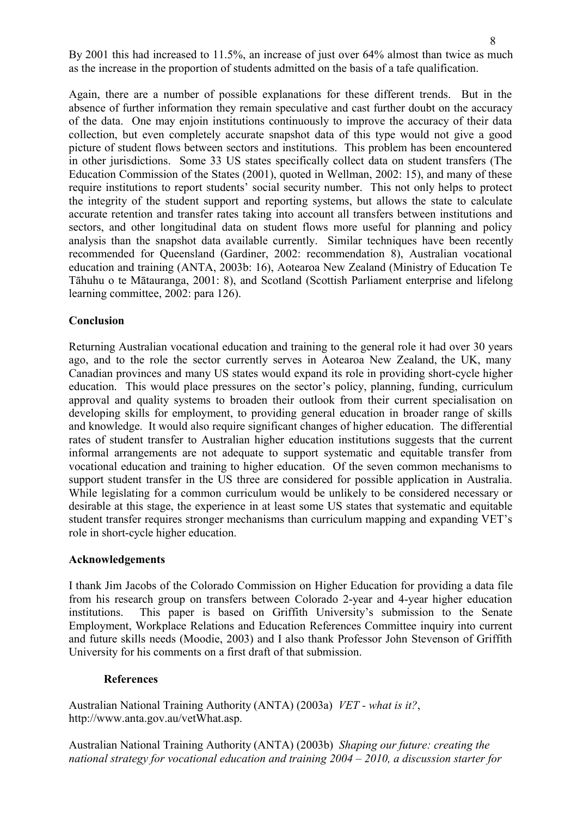By 2001 this had increased to 11.5%, an increase of just over 64% almost than twice as much as the increase in the proportion of students admitted on the basis of a tafe qualification.

Again, there are a number of possible explanations for these different trends. But in the absence of further information they remain speculative and cast further doubt on the accuracy of the data. One may enjoin institutions continuously to improve the accuracy of their data collection, but even completely accurate snapshot data of this type would not give a good picture of student flows between sectors and institutions. This problem has been encountered in other jurisdictions. Some 33 US states specifically collect data on student transfers (The Education Commission of the States (2001), quoted in Wellman, 2002: 15), and many of these require institutions to report students' social security number. This not only helps to protect the integrity of the student support and reporting systems, but allows the state to calculate accurate retention and transfer rates taking into account all transfers between institutions and sectors, and other longitudinal data on student flows more useful for planning and policy analysis than the snapshot data available currently. Similar techniques have been recently recommended for Queensland (Gardiner, 2002: recommendation 8), Australian vocational education and training (ANTA, 2003b: 16), Aotearoa New Zealand (Ministry of Education Te Tāhuhu o te Mātauranga, 2001: 8), and Scotland (Scottish Parliament enterprise and lifelong learning committee, 2002: para 126).

### **Conclusion**

Returning Australian vocational education and training to the general role it had over 30 years ago, and to the role the sector currently serves in Aotearoa New Zealand, the UK, many Canadian provinces and many US states would expand its role in providing short-cycle higher education. This would place pressures on the sector's policy, planning, funding, curriculum approval and quality systems to broaden their outlook from their current specialisation on developing skills for employment, to providing general education in broader range of skills and knowledge. It would also require significant changes of higher education. The differential rates of student transfer to Australian higher education institutions suggests that the current informal arrangements are not adequate to support systematic and equitable transfer from vocational education and training to higher education. Of the seven common mechanisms to support student transfer in the US three are considered for possible application in Australia. While legislating for a common curriculum would be unlikely to be considered necessary or desirable at this stage, the experience in at least some US states that systematic and equitable student transfer requires stronger mechanisms than curriculum mapping and expanding VET's role in short-cycle higher education.

### **Acknowledgements**

I thank Jim Jacobs of the Colorado Commission on Higher Education for providing a data file from his research group on transfers between Colorado 2-year and 4-year higher education institutions. This paper is based on Griffith University's submission to the Senate Employment, Workplace Relations and Education References Committee inquiry into current and future skills needs (Moodie, 2003) and I also thank Professor John Stevenson of Griffith University for his comments on a first draft of that submission.

### **References**

Australian National Training Authority (ANTA) (2003a) *VET - what is it?*, http://www.anta.gov.au/vetWhat.asp.

Australian National Training Authority (ANTA) (2003b) *Shaping our future: creating the national strategy for vocational education and training 2004 – 2010, a discussion starter for*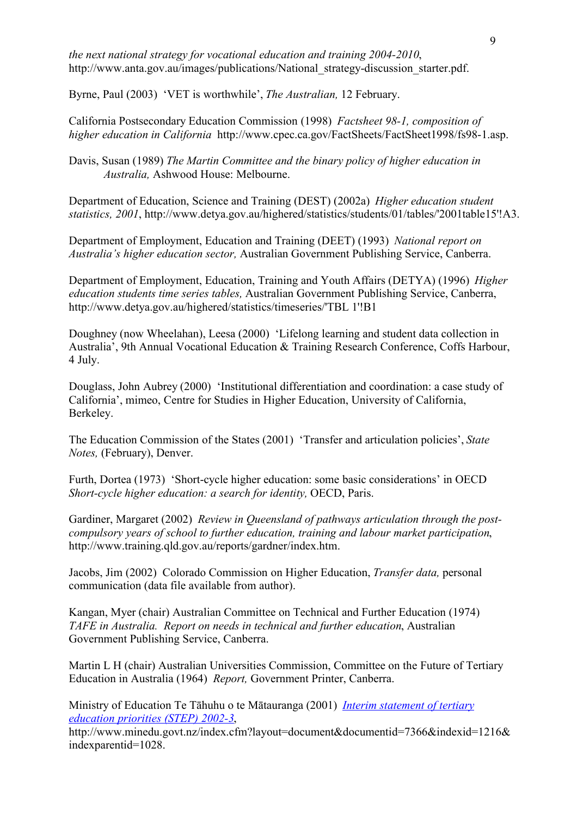*the next national strategy for vocational education and training 2004-2010*, http://www.anta.gov.au/images/publications/National\_strategy-discussion\_starter.pdf.

Byrne, Paul (2003) 'VET is worthwhile', *The Australian,* 12 February.

California Postsecondary Education Commission (1998) *Factsheet 98-1, composition of higher education in California* http://www.cpec.ca.gov/FactSheets/FactSheet1998/fs98-1.asp.

Davis, Susan (1989) *The Martin Committee and the binary policy of higher education in Australia,* Ashwood House: Melbourne.

Department of Education, Science and Training (DEST) (2002a) *Higher education student statistics, 2001*, http://www.detya.gov.au/highered/statistics/students/01/tables/'2001table15'!A3.

Department of Employment, Education and Training (DEET) (1993) *National report on Australia's higher education sector,* Australian Government Publishing Service, Canberra.

Department of Employment, Education, Training and Youth Affairs (DETYA) (1996) *Higher education students time series tables,* Australian Government Publishing Service, Canberra, http://www.detya.gov.au/highered/statistics/timeseries/'TBL 1'!B1

Doughney (now Wheelahan), Leesa (2000) 'Lifelong learning and student data collection in Australia', 9th Annual Vocational Education & Training Research Conference, Coffs Harbour, 4 July.

Douglass, John Aubrey (2000) 'Institutional differentiation and coordination: a case study of California', mimeo, Centre for Studies in Higher Education, University of California, Berkeley.

The Education Commission of the States (2001) 'Transfer and articulation policies', *State Notes,* (February), Denver.

Furth, Dortea (1973) 'Short-cycle higher education: some basic considerations' in OECD *Short-cycle higher education: a search for identity,* OECD, Paris.

Gardiner, Margaret (2002) *Review in Queensland of pathways articulation through the postcompulsory years of school to further education, training and labour market participation*, http://www.training.qld.gov.au/reports/gardner/index.htm.

Jacobs, Jim (2002) Colorado Commission on Higher Education, *Transfer data,* personal communication (data file available from author).

Kangan, Myer (chair) Australian Committee on Technical and Further Education (1974) *TAFE in Australia. Report on needs in technical and further education*, Australian Government Publishing Service, Canberra.

Martin L H (chair) Australian Universities Commission, Committee on the Future of Tertiary Education in Australia (1964) *Report,* Government Printer, Canberra.

Ministry of Education Te Tāhuhu o te Mātauranga (2001) *Interim statement of tertiary education priorities (STEP) 2002-3*,

http://www.minedu.govt.nz/index.cfm?layout=document&documentid=7366&indexid=1216& indexparentid=1028.